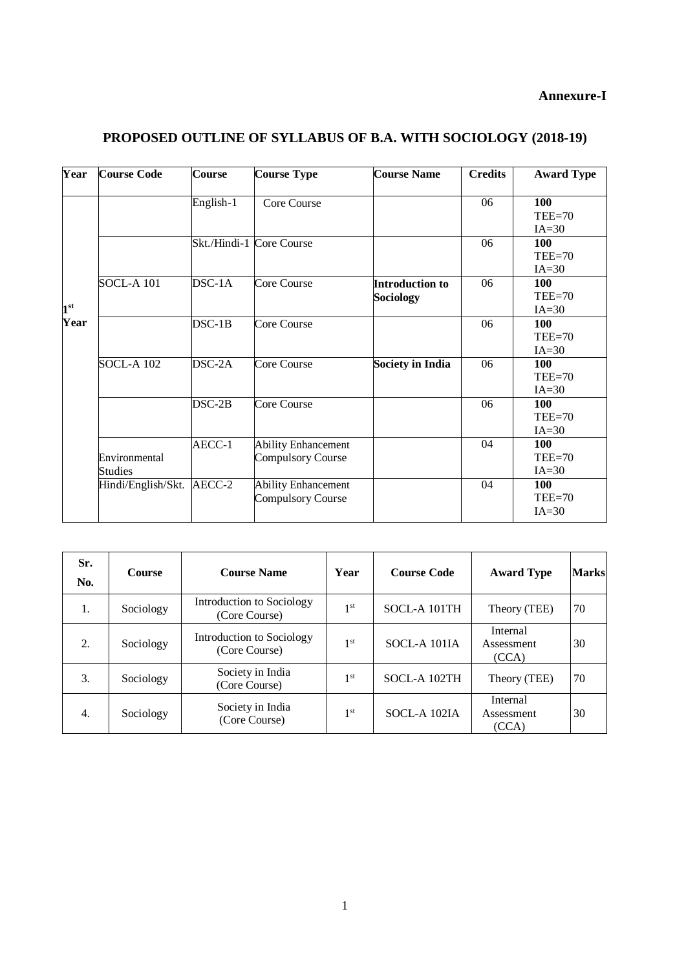# **Annexure-I**

| Year         | <b>Course Code</b>        | <b>Course</b> | <b>Course Type</b>                                     | <b>Course Name</b>                         | <b>Credits</b> | <b>Award Type</b>          |
|--------------|---------------------------|---------------|--------------------------------------------------------|--------------------------------------------|----------------|----------------------------|
|              |                           | English-1     | Core Course                                            |                                            | 06             | 100<br>$TEE=70$<br>$IA=30$ |
|              |                           |               | Skt./Hindi-1 Core Course                               |                                            | 06             | 100<br>$TEE=70$<br>$IA=30$ |
| $1^{\rm st}$ | <b>SOCL-A 101</b>         | $DSC-1A$      | Core Course                                            | <b>Introduction to</b><br><b>Sociology</b> | 06             | 100<br>$TEE=70$<br>$IA=30$ |
| Year         |                           | $DSC-1B$      | Core Course                                            |                                            | 06             | 100<br>$TEE=70$<br>$IA=30$ |
|              | <b>SOCL-A 102</b>         | DSC-2A        | Core Course                                            | <b>Society in India</b>                    | 06             | 100<br>$TEE=70$<br>$IA=30$ |
|              |                           | $DSC-2B$      | Core Course                                            |                                            | 06             | 100<br>$TEE=70$<br>$IA=30$ |
|              | Environmental<br>Studies  | AECC-1        | <b>Ability Enhancement</b><br><b>Compulsory Course</b> |                                            | 04             | 100<br>$TEE=70$<br>$IA=30$ |
|              | Hindi/English/Skt. AECC-2 |               | <b>Ability Enhancement</b><br>Compulsory Course        |                                            | 04             | 100<br>$TEE=70$<br>$IA=30$ |

# **PROPOSED OUTLINE OF SYLLABUS OF B.A. WITH SOCIOLOGY (2018-19)**

| Sr.<br>No. | <b>Course</b> | <b>Course Name</b>                         | Year            | <b>Course Code</b> | <b>Award Type</b>               | <b>Marks</b> |
|------------|---------------|--------------------------------------------|-----------------|--------------------|---------------------------------|--------------|
| 1.         | Sociology     | Introduction to Sociology<br>(Core Course) | 1 <sup>st</sup> | SOCL-A 101TH       | Theory (TEE)                    | 70           |
| 2.         | Sociology     | Introduction to Sociology<br>(Core Course) | 1 <sup>st</sup> | SOCL-A 101IA       | Internal<br>Assessment<br>(CCA) | 30           |
| 3.         | Sociology     | Society in India<br>(Core Course)          | 1 <sup>st</sup> | SOCL-A 102TH       | Theory (TEE)                    | 70           |
| 4.         | Sociology     | Society in India<br>(Core Course)          | 1 <sup>st</sup> | SOCL-A 102IA       | Internal<br>Assessment<br>(CCA) | 30           |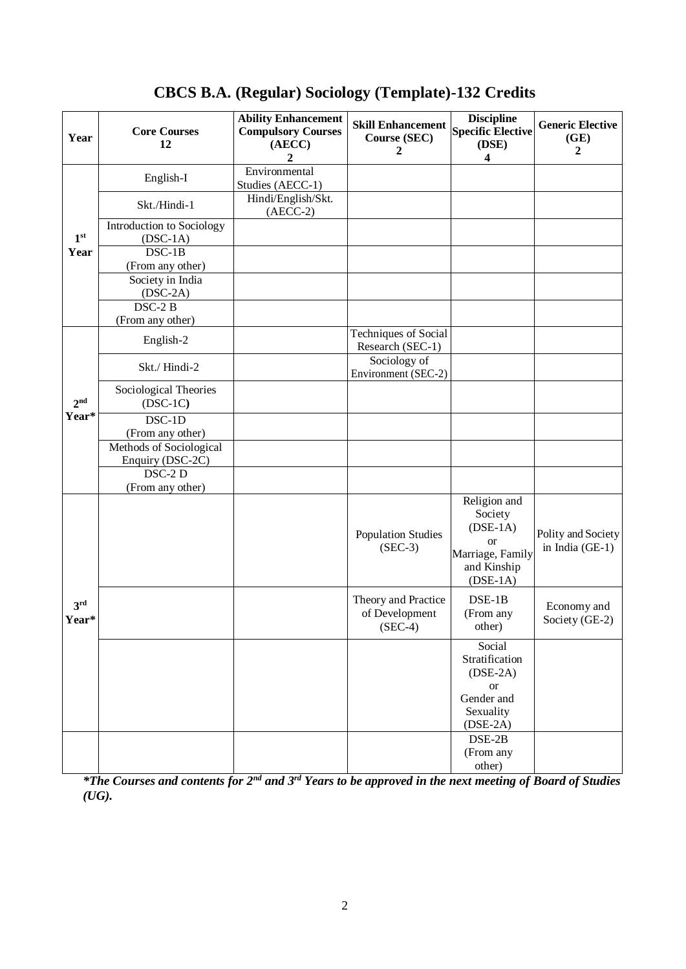| Year                     | <b>Core Courses</b><br>12                   | <b>Ability Enhancement</b><br><b>Compulsory Courses</b><br>(AECC)<br>2 | <b>Skill Enhancement</b><br>Course (SEC)<br>2      | <b>Discipline</b><br><b>Specific Elective</b><br>(DSE)<br>4                                             | <b>Generic Elective</b><br>(GE)<br>2    |
|--------------------------|---------------------------------------------|------------------------------------------------------------------------|----------------------------------------------------|---------------------------------------------------------------------------------------------------------|-----------------------------------------|
|                          | English-I                                   | Environmental<br>Studies (AECC-1)                                      |                                                    |                                                                                                         |                                         |
|                          | Skt./Hindi-1                                | Hindi/English/Skt.<br>$(AECC-2)$                                       |                                                    |                                                                                                         |                                         |
| 1 <sup>st</sup>          | Introduction to Sociology<br>$(DSC-1A)$     |                                                                        |                                                    |                                                                                                         |                                         |
| Year                     | $DSC-1B$<br>(From any other)                |                                                                        |                                                    |                                                                                                         |                                         |
|                          | Society in India<br>$(DSC-2A)$              |                                                                        |                                                    |                                                                                                         |                                         |
|                          | $DSC-2B$<br>(From any other)                |                                                                        |                                                    |                                                                                                         |                                         |
|                          | English-2                                   |                                                                        | <b>Techniques of Social</b><br>Research (SEC-1)    |                                                                                                         |                                         |
|                          | Skt./Hindi-2                                |                                                                        | Sociology of<br>Environment (SEC-2)                |                                                                                                         |                                         |
| 2 <sup>nd</sup>          | Sociological Theories<br>$(DSC-1C)$         |                                                                        |                                                    |                                                                                                         |                                         |
| Year*                    | $DSC-1D$<br>(From any other)                |                                                                        |                                                    |                                                                                                         |                                         |
|                          | Methods of Sociological<br>Enquiry (DSC-2C) |                                                                        |                                                    |                                                                                                         |                                         |
|                          | DSC-2 D<br>(From any other)                 |                                                                        |                                                    |                                                                                                         |                                         |
|                          |                                             |                                                                        | <b>Population Studies</b><br>$(SEC-3)$             | Religion and<br>Society<br>$(DSE-1A)$<br><sub>or</sub><br>Marriage, Family<br>and Kinship<br>$(DSE-1A)$ | Polity and Society<br>in India $(GE-1)$ |
| 3 <sup>rd</sup><br>Year* |                                             |                                                                        | Theory and Practice<br>of Development<br>$(SEC-4)$ | $DSE-1B$<br>(From any<br>other)                                                                         | Economy and<br>Society (GE-2)           |
|                          |                                             |                                                                        |                                                    | Social<br>Stratification<br>$(DSE-2A)$<br><b>or</b><br>Gender and<br>Sexuality<br>$(DSE-2A)$            |                                         |
|                          |                                             |                                                                        |                                                    | $DSE-2B$<br>(From any<br>other)                                                                         |                                         |

# **CBCS B.A. (Regular) Sociology (Template)-132 Credits**

*\*The Courses and contents for 2nd and 3rd Years to be approved in the next meeting of Board of Studies (UG).*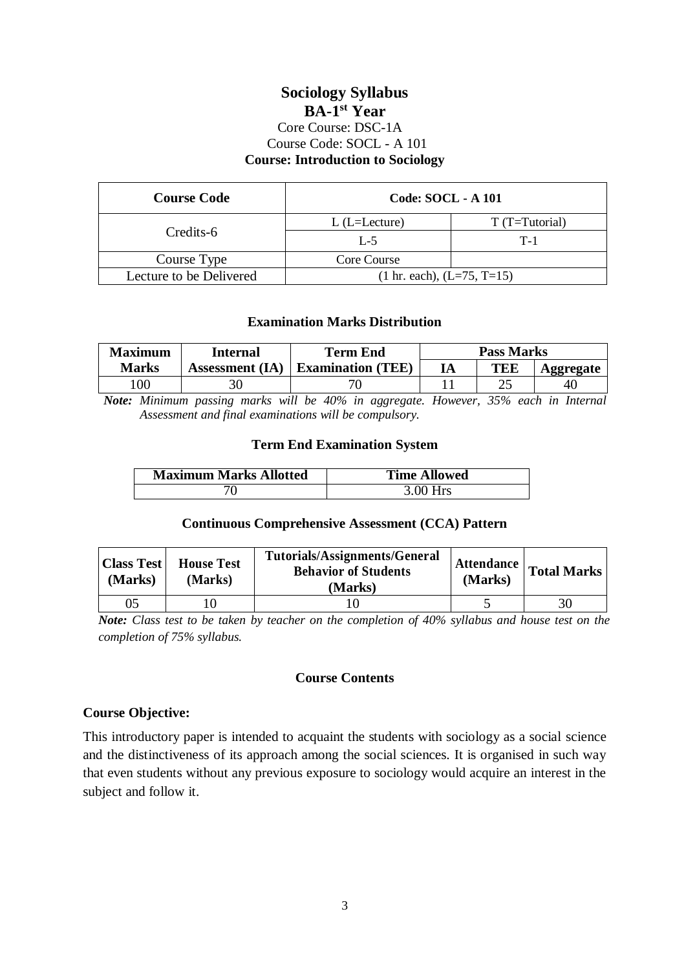# **Sociology Syllabus BA-1 st Year** Core Course: DSC-1A Course Code: SOCL - A 101 **Course: Introduction to Sociology**

| <b>Course Code</b>      | <b>Code: SOCL - A 101</b>            |                 |
|-------------------------|--------------------------------------|-----------------|
| Credits-6               | $L$ (L=Lecture)                      | $T(T=Tutorial)$ |
|                         | $L - 5$                              | $T-1$           |
| Course Type             | Core Course                          |                 |
| Lecture to be Delivered | $(1 \text{ hr. each}), (L=75, T=15)$ |                 |

### **Examination Marks Distribution**

| <b>Maximum</b> | Internal               | <b>Term End</b>          |    | <b>Pass Marks</b> |           |
|----------------|------------------------|--------------------------|----|-------------------|-----------|
| Marks          | <b>Assessment</b> (IA) | <b>Examination</b> (TEE) | ıА | TEE               | Aggregate |
| 00             |                        |                          |    | າະ<br>ت           | 40        |

*Note: Minimum passing marks will be 40% in aggregate. However, 35% each in Internal Assessment and final examinations will be compulsory.*

### **Term End Examination System**

| <b>Maximum Marks Allotted</b> | <b>Time Allowed</b> |
|-------------------------------|---------------------|
|                               | $3.00$ Hrs          |

#### **Continuous Comprehensive Assessment (CCA) Pattern**

| <b>Class Test</b><br>(Marks) | <b>House Test</b><br>(Marks) | Tutorials/Assignments/General<br><b>Behavior of Students</b><br>(Marks) | (Marks) | Attendance   Total Marks |
|------------------------------|------------------------------|-------------------------------------------------------------------------|---------|--------------------------|
| 05                           |                              |                                                                         |         | 30                       |

*Note: Class test to be taken by teacher on the completion of 40% syllabus and house test on the completion of 75% syllabus.*

# **Course Contents**

### **Course Objective:**

This introductory paper is intended to acquaint the students with sociology as a social science and the distinctiveness of its approach among the social sciences. It is organised in such way that even students without any previous exposure to sociology would acquire an interest in the subject and follow it.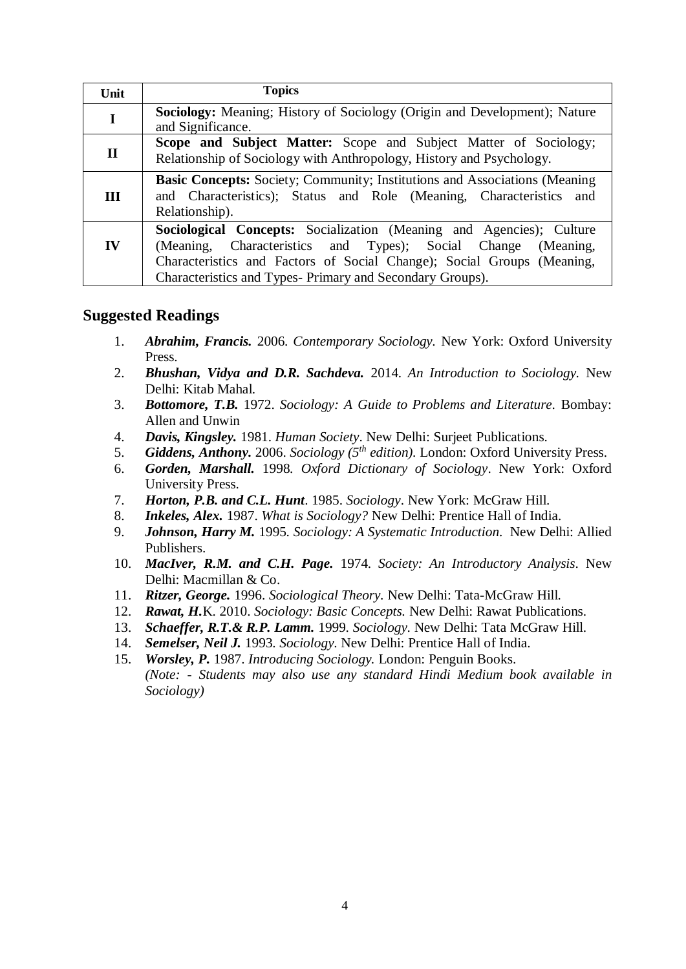| Unit         | <b>Topics</b>                                                                                                                                                                                                                                                                   |
|--------------|---------------------------------------------------------------------------------------------------------------------------------------------------------------------------------------------------------------------------------------------------------------------------------|
| I            | <b>Sociology:</b> Meaning; History of Sociology (Origin and Development); Nature<br>and Significance.                                                                                                                                                                           |
| $\mathbf{I}$ | <b>Scope and Subject Matter:</b> Scope and Subject Matter of Sociology;<br>Relationship of Sociology with Anthropology, History and Psychology.                                                                                                                                 |
| Ш            | <b>Basic Concepts:</b> Society; Community; Institutions and Associations (Meaning)<br>and Characteristics); Status and Role (Meaning, Characteristics and<br>Relationship).                                                                                                     |
| IV           | Sociological Concepts: Socialization (Meaning and Agencies); Culture<br>(Meaning, Characteristics and Types); Social Change<br>(Meaning,<br>Characteristics and Factors of Social Change); Social Groups (Meaning,<br>Characteristics and Types- Primary and Secondary Groups). |

# **Suggested Readings**

- 1. *Abrahim, Francis.* 2006. *Contemporary Sociology.* New York: Oxford University Press.
- 2. *Bhushan, Vidya and D.R. Sachdeva.* 2014. *An Introduction to Sociology.* New Delhi: Kitab Mahal.
- 3. *Bottomore, T.B.* 1972. *Sociology: A Guide to Problems and Literature.* Bombay: Allen and Unwin
- 4. *Davis, Kingsley.* 1981. *Human Society*. New Delhi: Surjeet Publications.
- 5. *Giddens, Anthony.* 2006. *Sociology (5th edition).* London: Oxford University Press.
- 6. *Gorden, Marshall.* 1998*. Oxford Dictionary of Sociology*. New York: Oxford University Press.
- 7. *Horton, P.B. and C.L. Hunt*. 1985. *Sociology*. New York: McGraw Hill.
- 8. *Inkeles, Alex.* 1987. *What is Sociology?* New Delhi: Prentice Hall of India.
- 9. *Johnson, Harry M.* 1995. *Sociology: A Systematic Introduction.* New Delhi: Allied Publishers.
- 10. *MacIver, R.M. and C.H. Page.* 1974. *Society: An Introductory Analysis*. New Delhi: Macmillan & Co.
- 11. *Ritzer, George.* 1996. *Sociological Theory.* New Delhi: Tata-McGraw Hill.
- 12. *Rawat, H.*K. 2010. *Sociology: Basic Concepts.* New Delhi: Rawat Publications.
- 13. *Schaeffer, R.T.& R.P. Lamm.* 1999. *Sociology*. New Delhi: Tata McGraw Hill.
- 14. *Semelser, Neil J.* 1993. *Sociology*. New Delhi: Prentice Hall of India.
- 15. *Worsley, P.* 1987. *Introducing Sociology.* London: Penguin Books. *(Note: - Students may also use any standard Hindi Medium book available in Sociology)*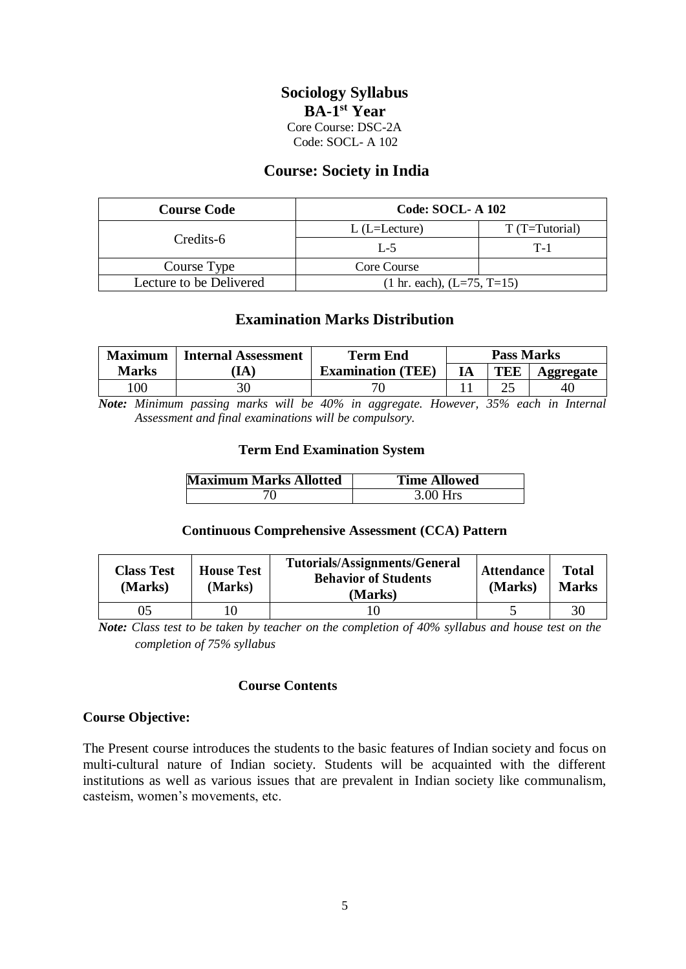# **Sociology Syllabus BA-1 st Year** Core Course: DSC-2A Code: SOCL- A 102

# **Course: Society in India**

| <b>Course Code</b>      | <b>Code: SOCL-A 102</b>              |                 |  |  |
|-------------------------|--------------------------------------|-----------------|--|--|
|                         | $L$ (L=Lecture)                      | $T(T=Tutorial)$ |  |  |
| Credits-6               | $L - 5$                              | $T-1$           |  |  |
| Course Type             | Core Course                          |                 |  |  |
| Lecture to be Delivered | $(1 \text{ hr. each}), (L=75, T=15)$ |                 |  |  |

# **Examination Marks Distribution**

| <b>Maximum</b> | <b>Internal Assessment</b> | Term End                 | <b>Pass Marks</b> |     |                  |
|----------------|----------------------------|--------------------------|-------------------|-----|------------------|
| Marks          | 1A                         | <b>Examination</b> (TEE) | IA                | TEE | <b>\ggregate</b> |
| 00             |                            |                          |                   |     | 40               |

*Note: Minimum passing marks will be 40% in aggregate. However, 35% each in Internal Assessment and final examinations will be compulsory.*

### **Term End Examination System**

| <b>Maximum Marks Allotted</b> | <b>Time Allowed</b> |
|-------------------------------|---------------------|
|                               | $3.00$ Hrs          |

#### **Continuous Comprehensive Assessment (CCA) Pattern**

| <b>Class Test</b><br>(Marks) | <b>House Test</b><br>(Marks) | <b>Tutorials/Assignments/General</b><br><b>Behavior of Students</b><br>(Marks) | <b>Attendance</b><br>(Marks) | <b>Total</b><br><b>Marks</b> |
|------------------------------|------------------------------|--------------------------------------------------------------------------------|------------------------------|------------------------------|
| 05                           |                              |                                                                                |                              | 3 <sub>0</sub>               |

*Note: Class test to be taken by teacher on the completion of 40% syllabus and house test on the completion of 75% syllabus*

#### **Course Contents**

#### **Course Objective:**

The Present course introduces the students to the basic features of Indian society and focus on multi-cultural nature of Indian society. Students will be acquainted with the different institutions as well as various issues that are prevalent in Indian society like communalism, casteism, women's movements, etc.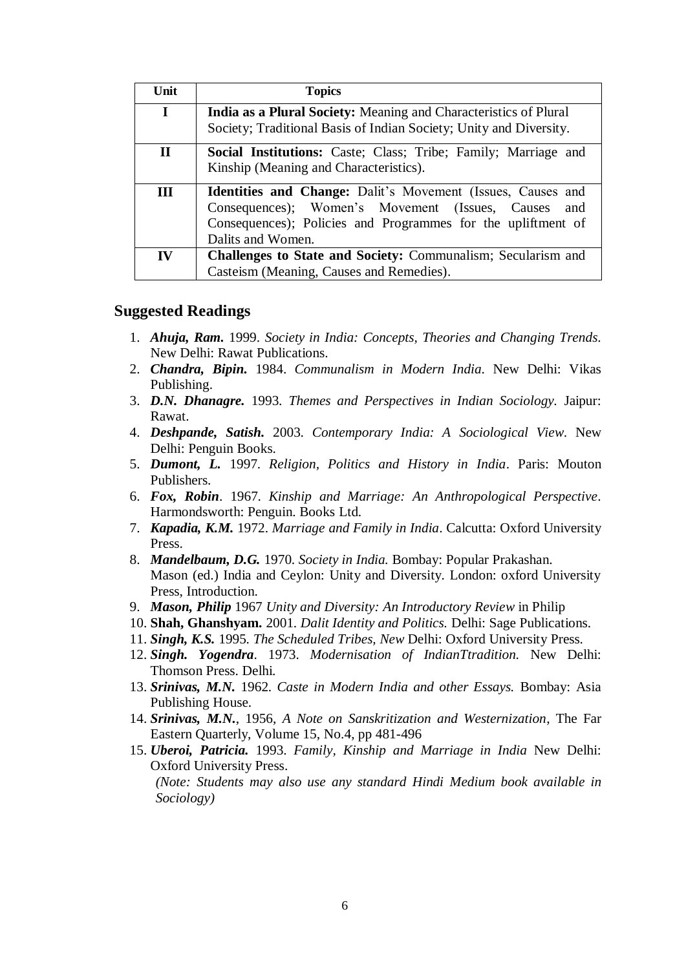| Unit        | <b>Topics</b>                                                                                                                                                                                           |  |  |  |  |  |  |
|-------------|---------------------------------------------------------------------------------------------------------------------------------------------------------------------------------------------------------|--|--|--|--|--|--|
| I           | India as a Plural Society: Meaning and Characteristics of Plural                                                                                                                                        |  |  |  |  |  |  |
|             | Society; Traditional Basis of Indian Society; Unity and Diversity.                                                                                                                                      |  |  |  |  |  |  |
| $\mathbf H$ | <b>Social Institutions:</b> Caste; Class; Tribe; Family; Marriage and<br>Kinship (Meaning and Characteristics).                                                                                         |  |  |  |  |  |  |
| <b>III</b>  | Identities and Change: Dalit's Movement (Issues, Causes and<br>Consequences); Women's Movement (Issues, Causes and<br>Consequences); Policies and Programmes for the upliftment of<br>Dalits and Women. |  |  |  |  |  |  |
| IV          | <b>Challenges to State and Society: Communalism; Secularism and</b><br>Casteism (Meaning, Causes and Remedies).                                                                                         |  |  |  |  |  |  |

### **Suggested Readings**

- 1. *Ahuja, Ram.* 1999. *Society in India: Concepts, Theories and Changing Trends.* New Delhi: Rawat Publications.
- 2. *Chandra, Bipin.* 1984. *Communalism in Modern India.* New Delhi: Vikas Publishing.
- 3. *D.N. Dhanagre.* 1993. *Themes and Perspectives in Indian Sociology.* Jaipur: Rawat.
- 4. *Deshpande, Satish.* 2003. *Contemporary India: A Sociological View*. New Delhi: Penguin Books.
- 5. *Dumont, L.* 1997. *Religion, Politics and History in India*. Paris: Mouton Publishers.
- 6. *Fox, Robin*. 1967. *Kinship and Marriage: An Anthropological Perspective*. Harmondsworth: Penguin. Books Ltd.
- 7. *Kapadia, K.M.* 1972. *Marriage and Family in India*. Calcutta: Oxford University Press.
- 8. *Mandelbaum, D.G.* 1970. *Society in India.* Bombay: Popular Prakashan. Mason (ed.) India and Ceylon: Unity and Diversity. London: oxford University Press, Introduction.
- 9. *Mason, Philip* 1967 *Unity and Diversity: An Introductory Review* in Philip
- 10. **Shah, Ghanshyam.** 2001. *Dalit Identity and Politics.* Delhi: Sage Publications.
- 11. *Singh, K.S.* 1995. *The Scheduled Tribes, New* Delhi: Oxford University Press.
- 12. *Singh. Yogendra*. 1973. *Modernisation of IndianTtradition.* New Delhi: Thomson Press. Delhi.
- 13. *Srinivas, M.N.* 1962. *Caste in Modern India and other Essays.* Bombay: Asia Publishing House.
- 14. *Srinivas, M.N.*, 1956, *A Note on Sanskritization and Westernization*, The Far Eastern Quarterly, Volume 15, No.4, pp 481-496
- 15. *Uberoi, Patricia.* 1993. *Family, Kinship and Marriage in India* New Delhi: Oxford University Press.

*(Note: Students may also use any standard Hindi Medium book available in Sociology)*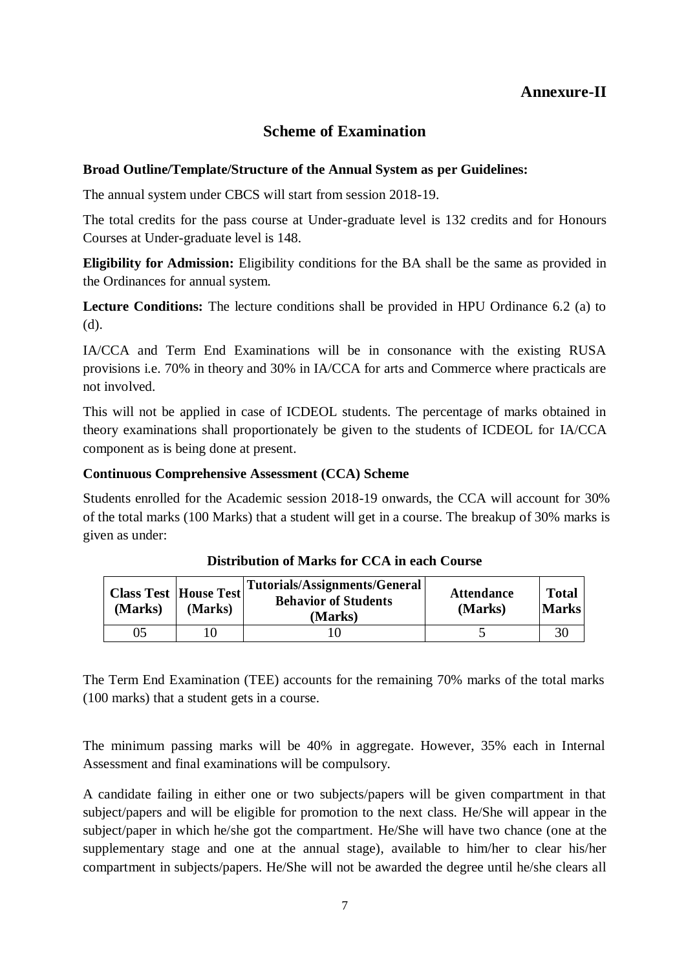# **Annexure-II**

# **Scheme of Examination**

### **Broad Outline/Template/Structure of the Annual System as per Guidelines:**

The annual system under CBCS will start from session 2018-19.

The total credits for the pass course at Under-graduate level is 132 credits and for Honours Courses at Under-graduate level is 148.

**Eligibility for Admission:** Eligibility conditions for the BA shall be the same as provided in the Ordinances for annual system.

**Lecture Conditions:** The lecture conditions shall be provided in HPU Ordinance 6.2 (a) to (d).

IA/CCA and Term End Examinations will be in consonance with the existing RUSA provisions i.e. 70% in theory and 30% in IA/CCA for arts and Commerce where practicals are not involved.

This will not be applied in case of ICDEOL students. The percentage of marks obtained in theory examinations shall proportionately be given to the students of ICDEOL for IA/CCA component as is being done at present.

### **Continuous Comprehensive Assessment (CCA) Scheme**

Students enrolled for the Academic session 2018-19 onwards, the CCA will account for 30% of the total marks (100 Marks) that a student will get in a course. The breakup of 30% marks is given as under:

| <b>Class Test  House Test </b><br>(Marks) | (Marks) | Tutorials/Assignments/General <br><b>Behavior of Students</b><br>(Marks) | <b>Attendance</b><br>(Marks) | <b>Total</b><br><b>Marks</b> |
|-------------------------------------------|---------|--------------------------------------------------------------------------|------------------------------|------------------------------|
| 05                                        |         |                                                                          |                              |                              |

**Distribution of Marks for CCA in each Course**

The Term End Examination (TEE) accounts for the remaining 70% marks of the total marks (100 marks) that a student gets in a course.

The minimum passing marks will be 40% in aggregate. However, 35% each in Internal Assessment and final examinations will be compulsory.

A candidate failing in either one or two subjects/papers will be given compartment in that subject/papers and will be eligible for promotion to the next class. He/She will appear in the subject/paper in which he/she got the compartment. He/She will have two chance (one at the supplementary stage and one at the annual stage), available to him/her to clear his/her compartment in subjects/papers. He/She will not be awarded the degree until he/she clears all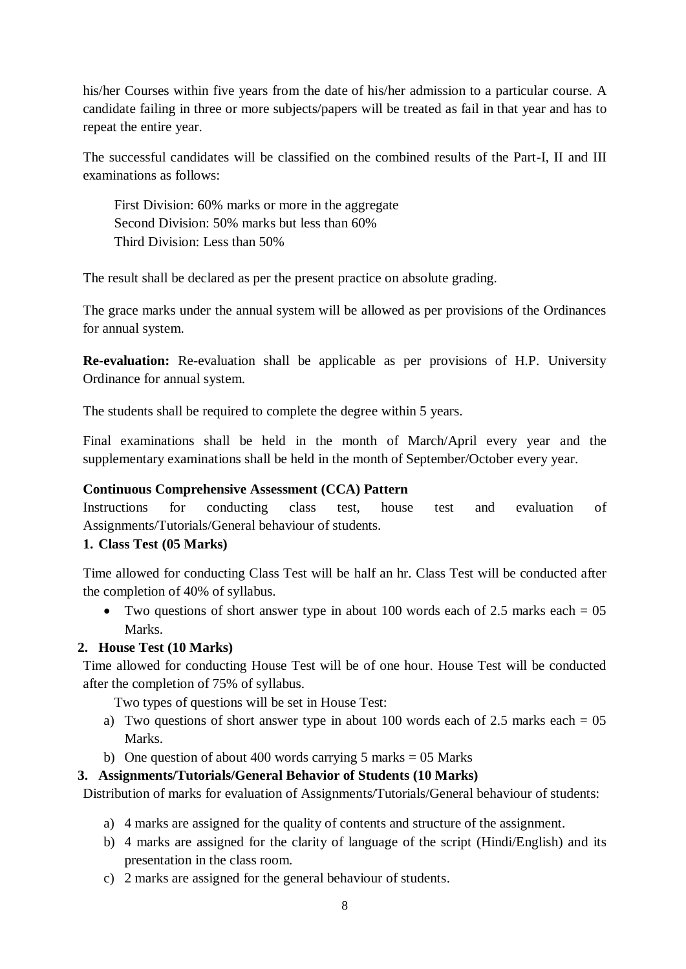his/her Courses within five years from the date of his/her admission to a particular course. A candidate failing in three or more subjects/papers will be treated as fail in that year and has to repeat the entire year.

The successful candidates will be classified on the combined results of the Part-I, II and III examinations as follows:

First Division: 60% marks or more in the aggregate Second Division: 50% marks but less than 60% Third Division: Less than 50%

The result shall be declared as per the present practice on absolute grading.

The grace marks under the annual system will be allowed as per provisions of the Ordinances for annual system.

**Re-evaluation:** Re-evaluation shall be applicable as per provisions of H.P. University Ordinance for annual system.

The students shall be required to complete the degree within 5 years.

Final examinations shall be held in the month of March/April every year and the supplementary examinations shall be held in the month of September/October every year.

### **Continuous Comprehensive Assessment (CCA) Pattern**

Instructions for conducting class test, house test and evaluation of Assignments/Tutorials/General behaviour of students.

# **1. Class Test (05 Marks)**

Time allowed for conducting Class Test will be half an hr. Class Test will be conducted after the completion of 40% of syllabus.

• Two questions of short answer type in about 100 words each of 2.5 marks each  $= 0.5$ Marks.

# **2. House Test (10 Marks)**

Time allowed for conducting House Test will be of one hour. House Test will be conducted after the completion of 75% of syllabus.

Two types of questions will be set in House Test:

- a) Two questions of short answer type in about 100 words each of 2.5 marks each  $= 05$ Marks.
- b) One question of about 400 words carrying  $5$  marks = 05 Marks

# **3. Assignments/Tutorials/General Behavior of Students (10 Marks)**

Distribution of marks for evaluation of Assignments/Tutorials/General behaviour of students:

- a) 4 marks are assigned for the quality of contents and structure of the assignment.
- b) 4 marks are assigned for the clarity of language of the script (Hindi/English) and its presentation in the class room.
- c) 2 marks are assigned for the general behaviour of students.